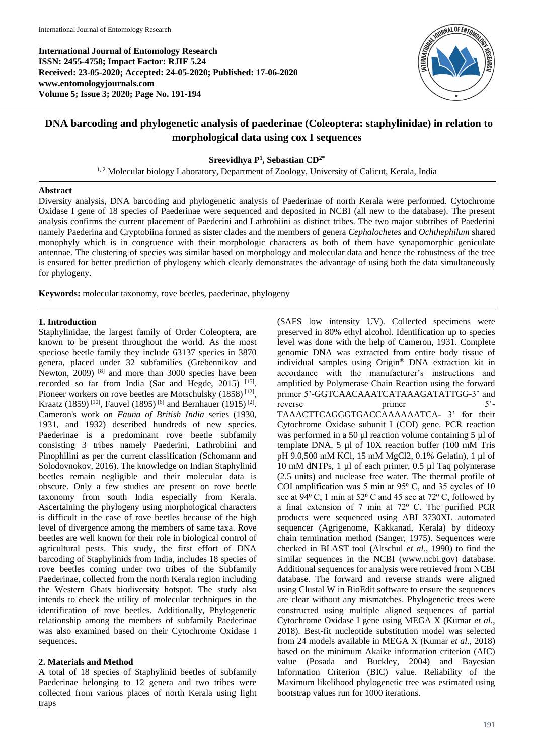**International Journal of Entomology Research ISSN: 2455-4758; Impact Factor: RJIF 5.24 Received: 23-05-2020; Accepted: 24-05-2020; Published: 17-06-2020 www.entomologyjournals.com Volume 5; Issue 3; 2020; Page No. 191-194**



# **DNA barcoding and phylogenetic analysis of paederinae (Coleoptera: staphylinidae) in relation to morphological data using cox I sequences**

# **Sreevidhya P 1 , Sebastian CD2\***

<sup>1, 2</sup> Molecular biology Laboratory, Department of Zoology, University of Calicut, Kerala, India

# **Abstract**

Diversity analysis, DNA barcoding and phylogenetic analysis of Paederinae of north Kerala were performed. Cytochrome Oxidase I gene of 18 species of Paederinae were sequenced and deposited in NCBI (all new to the database). The present analysis confirms the current placement of Paederini and Lathrobiini as distinct tribes. The two major subtribes of Paederini namely Paederina and Cryptobiina formed as sister clades and the members of genera *Cephalochetes* and *Ochthephilum* shared monophyly which is in congruence with their morphologic characters as both of them have synapomorphic geniculate antennae. The clustering of species was similar based on morphology and molecular data and hence the robustness of the tree is ensured for better prediction of phylogeny which clearly demonstrates the advantage of using both the data simultaneously for phylogeny.

**Keywords:** molecular taxonomy, rove beetles, paederinae, phylogeny

# **1. Introduction**

Staphylinidae, the largest family of Order Coleoptera, are known to be present throughout the world. As the most speciose beetle family they include 63137 species in 3870 genera, placed under 32 subfamilies (Grebennikov and Newton, 2009) <sup>[8]</sup> and more than 3000 species have been recorded so far from India (Sar and Hegde, 2015)<sup>[15]</sup>. Pioneer workers on rove beetles are Motschulsky (1858)<sup>[12]</sup>, Kraatz (1859)<sup>[10]</sup>, Fauvel (1895)<sup>[6]</sup> and Bernhauer (1915)<sup>[2]</sup>. Cameron's work on *Fauna of British India* series (1930, 1931, and 1932) described hundreds of new species. Paederinae is a predominant rove beetle subfamily consisting 3 tribes namely Paederini, Lathrobiini and Pinophilini as per the current classification (Schomann and Solodovnokov, 2016). The knowledge on Indian Staphylinid beetles remain negligible and their molecular data is obscure. Only a few studies are present on rove beetle taxonomy from south India especially from Kerala. Ascertaining the phylogeny using morphological characters is difficult in the case of rove beetles because of the high level of divergence among the members of same taxa. Rove beetles are well known for their role in biological control of agricultural pests. This study, the first effort of DNA barcoding of Staphylinids from India, includes 18 species of rove beetles coming under two tribes of the Subfamily Paederinae, collected from the north Kerala region including the Western Ghats biodiversity hotspot. The study also intends to check the utility of molecular techniques in the identification of rove beetles. Additionally, Phylogenetic relationship among the members of subfamily Paederinae was also examined based on their Cytochrome Oxidase I sequences.

# **2. Materials and Method**

A total of 18 species of Staphylinid beetles of subfamily Paederinae belonging to 12 genera and two tribes were collected from various places of north Kerala using light traps

(SAFS low intensity UV). Collected specimens were preserved in 80% ethyl alcohol. Identification up to species level was done with the help of Cameron, 1931. Complete genomic DNA was extracted from entire body tissue of individual samples using Origin® DNA extraction kit in accordance with the manufacturer's instructions and amplified by Polymerase Chain Reaction using the forward primer 5'-GGTCAACAAATCATAAAGATATTGG-3' and reverse primer 5'-TAAACTTCAGGGTGACCAAAAAATCA- 3' for their Cytochrome Oxidase subunit I (COI) gene. PCR reaction was performed in a 50 µl reaction volume containing 5 µl of template DNA, 5 µl of 10X reaction buffer (100 mM Tris pH 9.0,500 mM KCl, 15 mM MgCl2, 0.1% Gelatin), 1 µl of 10 mM dNTPs, 1 µl of each primer, 0.5 µl Taq polymerase (2.5 units) and nuclease free water. The thermal profile of COI amplification was 5 min at 95 $^{\circ}$  C, and 35 cycles of 10 sec at  $94^{\circ}$  C, 1 min at  $52^{\circ}$  C and 45 sec at 72 $^{\circ}$  C, followed by a final extension of 7 min at  $72^{\circ}$  C. The purified PCR products were sequenced using ABI 3730XL automated sequencer (Agrigenome, Kakkanad, Kerala) by dideoxy chain termination method (Sanger, 1975). Sequences were checked in BLAST tool (Altschul *et al.*, 1990) to find the similar sequences in the NCBI (www.ncbi.gov) database. Additional sequences for analysis were retrieved from NCBI database. The forward and reverse strands were aligned using Clustal W in BioEdit software to ensure the sequences are clear without any mismatches. Phylogenetic trees were constructed using multiple aligned sequences of partial Cytochrome Oxidase I gene using MEGA X (Kumar *et al.*, 2018). Best-fit nucleotide substitution model was selected from 24 models available in MEGA X (Kumar *et al.*, 2018) based on the minimum Akaike information criterion (AIC) value (Posada and Buckley, 2004) and Bayesian Information Criterion (BIC) value. Reliability of the Maximum likelihood phylogenetic tree was estimated using bootstrap values run for 1000 iterations.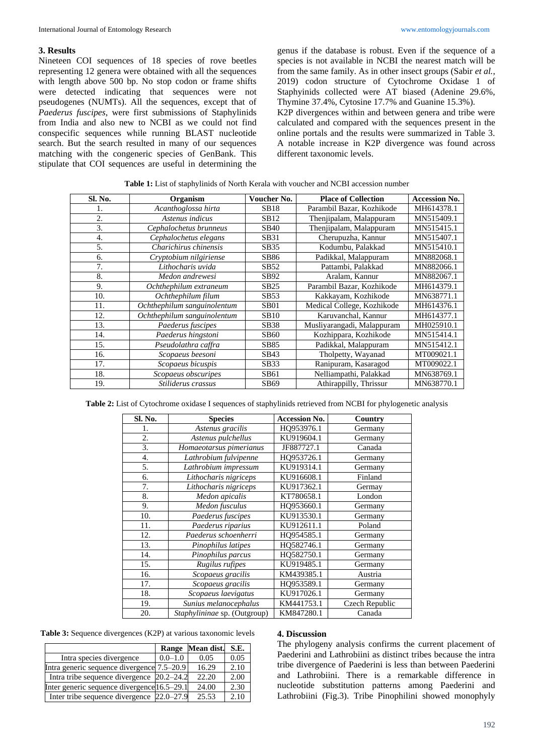# **3. Results**

Nineteen COI sequences of 18 species of rove beetles representing 12 genera were obtained with all the sequences with length above 500 bp. No stop codon or frame shifts were detected indicating that sequences were not pseudogenes (NUMTs). All the sequences, except that of *Paederus fuscipes*, were first submissions of Staphylinids from India and also new to NCBI as we could not find conspecific sequences while running BLAST nucleotide search. But the search resulted in many of our sequences matching with the congeneric species of GenBank. This stipulate that COI sequences are useful in determining the

genus if the database is robust. Even if the sequence of a species is not available in NCBI the nearest match will be from the same family. As in other insect groups (Sabir *et al.*, 2019) codon structure of Cytochrome Oxidase 1 of Staphyinids collected were AT biased (Adenine 29.6%, Thymine 37.4%, Cytosine 17.7% and Guanine 15.3%).

K2P divergences within and between genera and tribe were calculated and compared with the sequences present in the online portals and the results were summarized in Table 3. A notable increase in K2P divergence was found across different taxonomic levels.

| Sl. No. | Organism                    | Voucher No.      | <b>Place of Collection</b> | <b>Accession No.</b> |
|---------|-----------------------------|------------------|----------------------------|----------------------|
|         | Acanthoglossa hirta         | <b>SB18</b>      | Parambil Bazar, Kozhikode  | MH614378.1           |
| 2.      | Astenus indicus             | SB12             | Thenjipalam, Malappuram    | MN515409.1           |
| 3.      | Cephalochetus brunneus      | <b>SB40</b>      | Thenjipalam, Malappuram    | MN515415.1           |
| 4.      | Cephalochetus elegans       | SB31             | Cherupuzha, Kannur         | MN515407.1           |
| 5.      | Charichirus chinensis       | SB35             | Kodumbu, Palakkad          | MN515410.1           |
| 6.      | Cryptobium nilgiriense      | <b>SB86</b>      | Padikkal, Malappuram       | MN882068.1           |
| 7.      | Lithocharis uvida           | SB52             | Pattambi, Palakkad         | MN882066.1           |
| 8.      | Medon andrewesi             | SB92             | Aralam, Kannur             | MN882067.1           |
| 9.      | Ochthephilum extraneum      | SB25             | Parambil Bazar, Kozhikode  | MH614379.1           |
| 10.     | Ochthephilum filum          | SB53             | Kakkayam, Kozhikode        | MN638771.1           |
| 11.     | Ochthephilum sanguinolentum | SB <sub>01</sub> | Medical College, Kozhikode | MH614376.1           |
| 12.     | Ochthephilum sanguinolentum | <b>SB10</b>      | Karuvanchal, Kannur        | MH614377.1           |
| 13.     | Paederus fuscipes           | <b>SB38</b>      | Musliyarangadi, Malappuram | MH025910.1           |
| 14.     | Paederus hingstoni          | <b>SB60</b>      | Kozhippara, Kozhikode      | MN515414.1           |
| 15.     | Pseudolathra caffra         | SB85             | Padikkal, Malappuram       | MN515412.1           |
| 16.     | Scopaeus beesoni            | SB43             | Tholpetty, Wayanad         | MT009021.1           |
| 17.     | Scopaeus bicuspis           | SB33             | Ranipuram, Kasaragod       | MT009022.1           |
| 18.     | Scopaeus obscuripes         | SB61             | Nelliampathi, Palakkad     | MN638769.1           |
| 19.     | Stiliderus crassus          | SB69             | Athirappilly, Thrissur     | MN638770.1           |

| Table 1: List of staphylinids of North Kerala with voucher and NCBI accession number |  |
|--------------------------------------------------------------------------------------|--|
|--------------------------------------------------------------------------------------|--|

**Table 2:** List of Cytochrome oxidase I sequences of staphylinids retrieved from NCBI for phylogenetic analysis

| Sl. No.          | <b>Species</b>               | <b>Accession No.</b> | Country        |
|------------------|------------------------------|----------------------|----------------|
| 1.               | Astenus gracilis             | HQ953976.1           | Germany        |
| 2.               | Astenus pulchellus           | KU919604.1           | Germany        |
| 3.               | Homaeotarsus pimerianus      | JF887727.1           | Canada         |
| $\overline{4}$ . | Lathrobium fulvipenne        | HO953726.1           | Germany        |
| 5.               | Lathrobium impressum         | KU919314.1           | Germany        |
| 6.               | Lithocharis nigriceps        | KU916608.1           | Finland        |
| 7.               | Lithocharis nigriceps        | KU917362.1           | Germay         |
| 8.               | Medon apicalis               | KT780658.1           | London         |
| 9.               | Medon fusculus               | HQ953660.1           | Germany        |
| 10.              | Paederus fuscipes            | KU913530.1           | Germany        |
| 11.              | Paederus riparius            | KU912611.1           | Poland         |
| 12.              | Paederus schoenherri         | HO954585.1           | Germany        |
| 13.              | Pinophilus latipes           | HQ582746.1           | Germany        |
| 14.              | Pinophilus parcus            | HO582750.1           | Germany        |
| 15.              | Rugilus rufipes              | KU919485.1           | Germany        |
| 16.              | Scopaeus gracilis            | KM439385.1           | Austria        |
| 17.              | Scopaeus gracilis            | HO953589.1           | Germany        |
| 18.              | Scopaeus laevigatus          | KU917026.1           | Germany        |
| 19.              | Sunius melanocephalus        | KM441753.1           | Czech Republic |
| 20.              | Staphylininae sp. (Outgroup) | KM847280.1           | Canada         |

| <b>Table 3:</b> Sequence divergences (K2P) at various taxonomic levels |  |  |
|------------------------------------------------------------------------|--|--|
|------------------------------------------------------------------------|--|--|

|                                             |             | Range Mean dist. S.E. |      |
|---------------------------------------------|-------------|-----------------------|------|
| Intra species divergence                    | $0.0 - 1.0$ | 0.05                  | 0.05 |
| Intra generic sequence divergence 7.5–20.9  |             | 16.29                 | 2.10 |
| Intra tribe sequence divergence 20.2–24.2   |             | 22.20                 | 2.00 |
| Inter generic sequence divergence 16.5–29.1 |             | 24.00                 | 2.30 |
| Inter tribe sequence divergence 22.0–27.9   |             | 25.53                 | 2.10 |

#### **4. Discussion**

The phylogeny analysis confirms the current placement of Paederini and Lathrobiini as distinct tribes because the intra tribe divergence of Paederini is less than between Paederini and Lathrobiini. There is a remarkable difference in nucleotide substitution patterns among Paederini and Lathrobiini (Fig.3). Tribe Pinophilini showed monophyly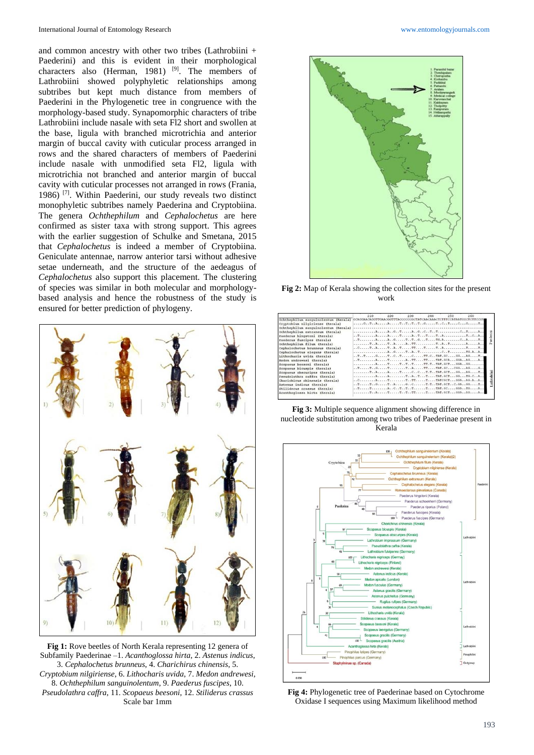and common ancestry with other two tribes (Lathrobiini + Paederini) and this is evident in their morphological characters also (Herman, 1981)  $[9]$ . The members of Lathrobiini showed polyphyletic relationships among subtribes but kept much distance from members of Paederini in the Phylogenetic tree in congruence with the morphology-based study. Synapomorphic characters of tribe Lathrobiini include nasale with seta Fl2 short and swollen at the base, ligula with branched microtrichia and anterior margin of buccal cavity with cuticular process arranged in rows and the shared characters of members of Paederini include nasale with unmodified seta Fl2, ligula with microtrichia not branched and anterior margin of buccal cavity with cuticular processes not arranged in rows (Frania, 1986) [7]. Within Paederini, our study reveals two distinct monophyletic subtribes namely Paederina and Cryptobiina. The genera *Ochthephilum* and *Cephalochetus* are here confirmed as sister taxa with strong support. This agrees with the earlier suggestion of Schulke and Smetana, 2015 that *Cephalochetus* is indeed a member of Cryptobiina. Geniculate antennae, narrow anterior tarsi without adhesive setae underneath, and the structure of the aedeagus of *Cephalochetus* also support this placement. The clustering of species was similar in both molecular and morphologybased analysis and hence the robustness of the study is ensured for better prediction of phylogeny.



**Fig 1:** Rove beetles of North Kerala representing 12 genera of Subfamily Paederinae –1. *Acanthoglossa hirta*, 2. *Astenus indicus*, 3. *Cephalochetus brunneus*, 4. *Charichirus chinensis*, 5. *Cryptobium nilgiriense*, 6. *Lithocharis uvida*, 7. *Medon andrewesi*, 8. *Ochthephilum sanguinolentum*, 9. *Paederus fuscipes*, 10. *Pseudolathra caffra*, 11. *Scopaeus beesoni*, 12. *Stiliderus crassus*  Scale bar 1mm



**Fig 2:** Map of Kerala showing the collection sites for the present work

|                                      | 210.                                                                                                                                                                                                               | $220 -$ | 230 | 240 | 250 | 260 |            |
|--------------------------------------|--------------------------------------------------------------------------------------------------------------------------------------------------------------------------------------------------------------------|---------|-----|-----|-----|-----|------------|
| Ochthephilum sanquinolentum (Kerala) | GCAGGAACAGGTTGAACGGTTTACCCCCCCGCTATCAACAAACTCTTTCCATAATGGCTCTTCCG1                                                                                                                                                 |         |     |     |     |     |            |
| Cryptobium nilgiriense (Kerala)      |                                                                                                                                                                                                                    |         |     |     |     |     |            |
| Ochthephilum sanquinolentum (Kerala) |                                                                                                                                                                                                                    |         |     |     |     |     |            |
| Ochthephilum extraneum (Kerala)      |                                                                                                                                                                                                                    |         |     |     |     |     |            |
| Paederus hingstoni (Kerala)          |                                                                                                                                                                                                                    |         |     |     |     |     |            |
| Paederus fuscipes (Kerala)           |                                                                                                                                                                                                                    |         |     |     |     |     |            |
| Ochthephilum filum (Kerala)          |                                                                                                                                                                                                                    |         |     |     |     |     |            |
| Cephalochetus brunneus (Kerala)      |                                                                                                                                                                                                                    |         |     |     |     |     |            |
| Cephalochetus elegans (Kerala)       |                                                                                                                                                                                                                    |         |     |     |     |     |            |
| Lithocharis uvida (Kerala)           |                                                                                                                                                                                                                    |         |     |     |     |     |            |
| Medon andrewesi (Kerala)             | $\ldots$ TATATTTTTAT.GCAGGAAGA                                                                                                                                                                                     |         |     |     |     |     |            |
| Scopaeus beesoni (Kerala)            | $\ldots \ldots \ldots$ $\lambda \ldots \ldots \tau \ldots \tau \ldots \tau \ldots \tau \ldots \ldots \tau \tau \ldots \tau \lambda \tau \ldots \text{GCT} \ldots \text{GGA} \ldots \text{GG} \ldots \ldots \ldots$ |         |     |     |     |     |            |
| Scopacus bicuspis (Kerala)           | $\dots$ TTGTTATTTAT.GCCGGAGG                                                                                                                                                                                       |         |     |     |     |     |            |
| Scopaeus obscuripes (Kerala)         | TAATCCT.TTAT.GCTGGAGT                                                                                                                                                                                              |         |     |     |     |     |            |
| Pseudolathra caffra (Kerala)         | AATATTTAT.GCTGGTG.CA                                                                                                                                                                                               |         |     |     |     |     |            |
| Charichirus chinensis (Kerala)       |                                                                                                                                                                                                                    |         |     |     |     |     | athrobiini |
| Astenus indicus (Kerala)             | TTGTAGCTTAT.GCTC.GAGGT                                                                                                                                                                                             |         |     |     |     |     |            |
| Stiliderus crassus (Kerala)          | $\ldots$ T T ACTTTTTAT.GCGGATGA                                                                                                                                                                                    |         |     |     |     |     |            |
| Acanthoglossa hirta (Kerala)         |                                                                                                                                                                                                                    |         |     |     |     |     |            |

**Fig 3:** Multiple sequence alignment showing difference in nucleotide substitution among two tribes of Paederinae present in Kerala



**Fig 4:** Phylogenetic tree of Paederinae based on Cytochrome Oxidase I sequences using Maximum likelihood method